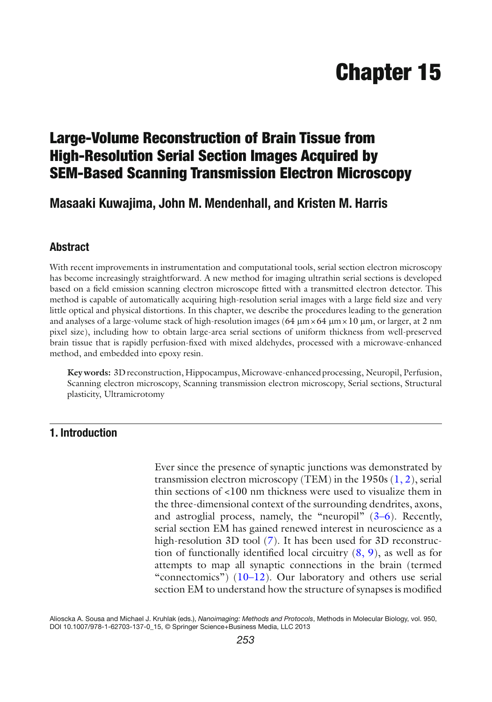# **Chapter 15**

## **Large-Volume Reconstruction of Brain Tissue from High-Resolution Serial Section Images Acquired by SEM-Based Scanning Transmission Electron Microscopy**

## **Masaaki Kuwajima , John M. Mendenhall , and Kristen M. Harris**

#### **Abstract**

With recent improvements in instrumentation and computational tools, serial section electron microscopy has become increasingly straightforward. A new method for imaging ultrathin serial sections is developed based on a field emission scanning electron microscope fitted with a transmitted electron detector. This method is capable of automatically acquiring high-resolution serial images with a large field size and very little optical and physical distortions. In this chapter, we describe the procedures leading to the generation and analyses of a large-volume stack of high-resolution images (64  $\mu$ m × 64  $\mu$ m × 10  $\mu$ m, or larger, at 2 nm pixel size), including how to obtain large-area serial sections of uniform thickness from well-preserved brain tissue that is rapidly perfusion-fixed with mixed aldehydes, processed with a microwave-enhanced method, and embedded into epoxy resin.

Key words: 3D reconstruction, Hippocampus, Microwave-enhanced processing, Neuropil, Perfusion, Scanning electron microscopy , Scanning transmission electron microscopy , Serial sections , Structural plasticity, Ultramicrotomy

### **1. Introduction**

Ever since the presence of synaptic junctions was demonstrated by transmission electron microscopy (TEM) in the 1950s  $(1, 2)$ , serial thin sections of <100 nm thickness were used to visualize them in the three-dimensional context of the surrounding dendrites, axons, and astroglial process, namely, the "neuropil"  $(3-6)$ . Recently, serial section EM has gained renewed interest in neuroscience as a high-resolution 3D tool  $(7)$ . It has been used for 3D reconstruction of functionally identified local circuitry  $(8, 9)$ , as well as for attempts to map all synaptic connections in the brain (termed "connectomics")  $(10-12)$ . Our laboratory and others use serial section EM to understand how the structure of synapses is modified

Alioscka A. Sousa and Michael J. Kruhlak (eds.), *Nanoimaging: Methods and Protocols*, Methods in Molecular Biology, vol. 950, DOI 10.1007/978-1-62703-137-0\_15, © Springer Science+Business Media, LLC 2013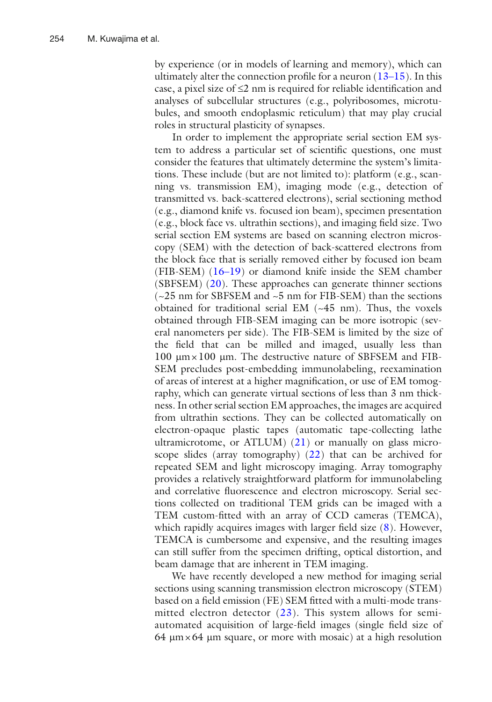by experience (or in models of learning and memory), which can ultimately alter the connection profile for a neuron  $(13-15)$ . In this case, a pixel size of  $\leq$ 2 nm is required for reliable identification and analyses of subcellular structures (e.g., polyribosomes, microtubules, and smooth endoplasmic reticulum) that may play crucial roles in structural plasticity of synapses.

In order to implement the appropriate serial section EM system to address a particular set of scientific questions, one must consider the features that ultimately determine the system's limitations. These include (but are not limited to): platform (e.g., scanning vs. transmission EM), imaging mode (e.g., detection of transmitted vs. back-scattered electrons), serial sectioning method (e.g., diamond knife vs. focused ion beam), specimen presentation (e.g., block face vs. ultrathin sections), and imaging field size. Two serial section EM systems are based on scanning electron microscopy (SEM) with the detection of back-scattered electrons from the block face that is serially removed either by focused ion beam (FIB-SEM)  $(16-19)$  or diamond knife inside the SEM chamber (SBFSEM)  $(20)$ . These approaches can generate thinner sections  $(-25 \text{ nm}$  for SBFSEM and  $-5 \text{ nm}$  for FIB-SEM) than the sections obtained for traditional serial EM (~45 nm). Thus, the voxels obtained through FIB-SEM imaging can be more isotropic (several nanometers per side). The FIB-SEM is limited by the size of the field that can be milled and imaged, usually less than 100  $\mu$ m × 100  $\mu$ m. The destructive nature of SBFSEM and FIB-SEM precludes post-embedding immunolabeling, reexamination of areas of interest at a higher magnification, or use of EM tomography, which can generate virtual sections of less than 3 nm thickness. In other serial section EM approaches, the images are acquired from ultrathin sections. They can be collected automatically on electron-opaque plastic tapes (automatic tape-collecting lathe ultramicrotome, or ATLUM)  $(21)$  or manually on glass microscope slides (array tomography)  $(22)$  that can be archived for repeated SEM and light microscopy imaging. Array tomography provides a relatively straightforward platform for immunolabeling and correlative fluorescence and electron microscopy. Serial sections collected on traditional TEM grids can be imaged with a TEM custom-fitted with an array of CCD cameras (TEMCA), which rapidly acquires images with larger field size  $(8)$ . However, TEMCA is cumbersome and expensive, and the resulting images can still suffer from the specimen drifting, optical distortion, and beam damage that are inherent in TEM imaging.

We have recently developed a new method for imaging serial sections using scanning transmission electron microscopy (STEM) based on a field emission (FE) SEM fitted with a multi-mode transmitted electron detector  $(23)$ . This system allows for semiautomated acquisition of large-field images (single field size of 64  $\mu$ m × 64  $\mu$ m square, or more with mosaic) at a high resolution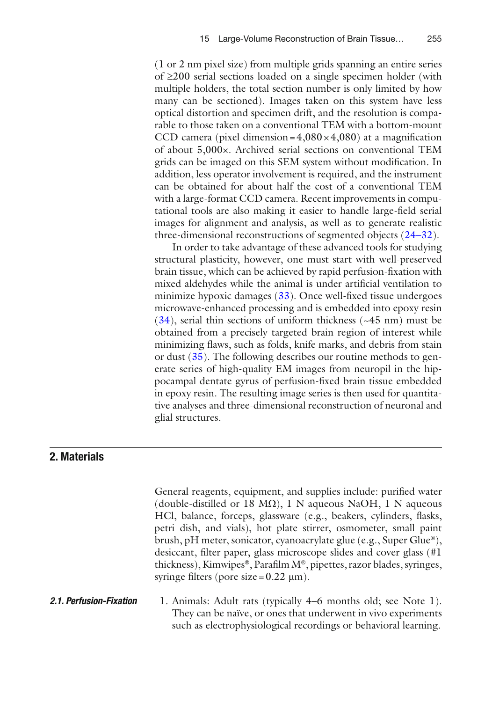<span id="page-2-0"></span>(1 or 2 nm pixel size) from multiple grids spanning an entire series of  $\geq$ 200 serial sections loaded on a single specimen holder (with multiple holders, the total section number is only limited by how many can be sectioned). Images taken on this system have less optical distortion and specimen drift, and the resolution is comparable to those taken on a conventional TEM with a bottom-mount CCD camera (pixel dimension =  $4,080 \times 4,080$ ) at a magnification of about 5,000×. Archived serial sections on conventional TEM grids can be imaged on this SEM system without modification. In addition, less operator involvement is required, and the instrument can be obtained for about half the cost of a conventional TEM with a large-format CCD camera. Recent improvements in computational tools are also making it easier to handle large-field serial images for alignment and analysis, as well as to generate realistic three-dimensional reconstructions of segmented objects  $(24-32)$ .

In order to take advantage of these advanced tools for studying structural plasticity, however, one must start with well-preserved brain tissue, which can be achieved by rapid perfusion-fixation with mixed aldehydes while the animal is under artificial ventilation to minimize hypoxic damages  $(33)$ . Once well-fixed tissue undergoes microwave-enhanced processing and is embedded into epoxy resin  $(34)$ , serial thin sections of uniform thickness  $(-45 \text{ nm})$  must be obtained from a precisely targeted brain region of interest while minimizing flaws, such as folds, knife marks, and debris from stain or dust  $(35)$ . The following describes our routine methods to generate series of high-quality EM images from neuropil in the hippocampal dentate gyrus of perfusion-fixed brain tissue embedded in epoxy resin. The resulting image series is then used for quantitative analyses and three-dimensional reconstruction of neuronal and glial structures.

#### **2. Materials**

General reagents, equipment, and supplies include: purified water (double-distilled or 18 M $\Omega$ ), 1 N aqueous NaOH, 1 N aqueous HCl, balance, forceps, glassware (e.g., beakers, cylinders, flasks, petri dish, and vials), hot plate stirrer, osmometer, small paint brush, pH meter, sonicator, cyanoacrylate glue (e.g., Super Glue<sup>®</sup>), desiccant, filter paper, glass microscope slides and cover glass (#1) thickness), Kimwipes®, Parafilm M®, pipettes, razor blades, syringes, syringe filters (pore size =  $0.22 \mu$ m).

 1. Animals: Adult rats (typically 4–6 months old; see Note 1 ). They can be naïve, or ones that underwent in vivo experiments such as electrophysiological recordings or behavioral learning.  *2.1. Perfusion-Fixation*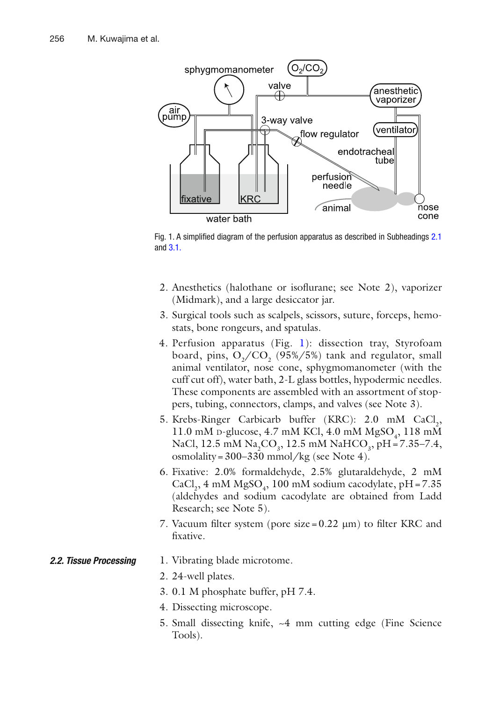<span id="page-3-0"></span>

Fig. 1. A simplified diagram of the perfusion apparatus as described in Subheadings [2.1](#page-2-0) and [3.1.](#page-7-0)

- 2. Anesthetics (halothane or isoflurane; see Note 2), vaporizer (Midmark), and a large desiccator jar.
- 3. Surgical tools such as scalpels, scissors, suture, forceps, hemostats, bone rongeurs, and spatulas.
- 4. Perfusion apparatus (Fig. 1): dissection tray, Styrofoam board, pins,  $O_2/CO$ ,  $(95\%/5\%)$  tank and regulator, small animal ventilator, nose cone, sphygmomanometer (with the cuff cut off), water bath, 2-L glass bottles, hypodermic needles. These components are assembled with an assortment of stoppers, tubing, connectors, clamps, and valves (see Note 3 ).
- 5. Krebs-Ringer Carbicarb buffer (KRC): 2.0 mM CaCl<sub>2</sub>, 11.0 mM D-glucose, 4.7 mM KCl, 4.0 mM MgSO<sub>4</sub>, 118 mM NaCl, 12.5 mM  $\text{Na}_2\text{CO}_3$ , 12.5 mM  $\text{NaHCO}_3$ , pH = 7.35–7.4, osmolality =  $300-330$  mmol/kg (see Note 4).
	- 6. Fixative: 2.0% formaldehyde, 2.5% glutaraldehyde, 2 mM  $CaCl<sub>2</sub>$ , 4 mM MgSO<sub>4</sub>, 100 mM sodium cacodylate, pH=7.35 (aldehydes and sodium cacodylate are obtained from Ladd Research; see Note 5).
	- 7. Vacuum filter system (pore size =  $0.22 \mu m$ ) to filter KRC and fixative.

#### 1. Vibrating blade microtome.  *2.2. Tissue Processing*

- 2. 24-well plates.
- 3. 0.1 M phosphate buffer, pH 7.4.
- 4. Dissecting microscope.
- 5. Small dissecting knife, ~4 mm cutting edge (Fine Science Tools).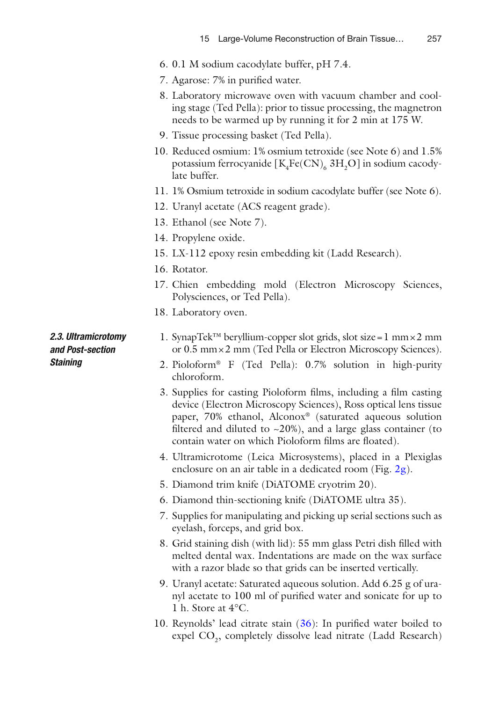- 6. 0.1 M sodium cacodylate buffer, pH 7.4.
- 7. Agarose: 7% in purified water.
- 8. Laboratory microwave oven with vacuum chamber and cooling stage (Ted Pella): prior to tissue processing, the magnetron needs to be warmed up by running it for 2 min at 175 W.
- 9. Tissue processing basket (Ted Pella).
- 10. Reduced osmium: 1% osmium tetroxide (see Note 6) and 1.5% potassium ferrocyanide  $\left[\mathrm{K_{4}Fe(CN)_{6}}\,3\mathrm{H}_{2}\mathrm{O}\right]$  in sodium cacodylate buffer.
- 11. 1% Osmium tetroxide in sodium cacodylate buffer (see Note 6 ).
- 12. Uranyl acetate (ACS reagent grade).
- 13. Ethanol (see Note 7).
- 14. Propylene oxide.
- 15. LX-112 epoxy resin embedding kit (Ladd Research).
- 16. Rotator.
- 17. Chien embedding mold (Electron Microscopy Sciences, Polysciences, or Ted Pella).
- 18. Laboratory oven.

#### *2.3. Ultramicrotomy and Post-section Staining*

- 1. SynapTek™ beryllium-copper slot grids, slot size = 1 mm × 2 mm or 0.5 mm × 2 mm (Ted Pella or Electron Microscopy Sciences).
- 2. Pioloform® F (Ted Pella): 0.7% solution in high-purity chloroform.
- 3. Supplies for casting Pioloform films, including a film casting device (Electron Microscopy Sciences), Ross optical lens tissue paper, 70% ethanol, Alconox® (saturated aqueous solution filtered and diluted to  $\sim$ 20%), and a large glass container (to contain water on which Pioloform films are floated).
- 4. Ultramicrotome (Leica Microsystems), placed in a Plexiglas enclosure on an air table in a dedicated room (Fig. [2g\)](#page-6-0).
- 5. Diamond trim knife (DiATOME cryotrim 20).
- 6. Diamond thin-sectioning knife (DiATOME ultra 35).
- 7. Supplies for manipulating and picking up serial sections such as eyelash, forceps, and grid box.
- 8. Grid staining dish (with lid): 55 mm glass Petri dish filled with melted dental wax. Indentations are made on the wax surface with a razor blade so that grids can be inserted vertically.
- 9. Uranyl acetate: Saturated aqueous solution. Add 6.25 g of uranyl acetate to 100 ml of purified water and sonicate for up to 1 h. Store at 4°C.
- 10. Reynolds' lead citrate stain  $(36)$ : In purified water boiled to expel CO<sub>2</sub>, completely dissolve lead nitrate (Ladd Research)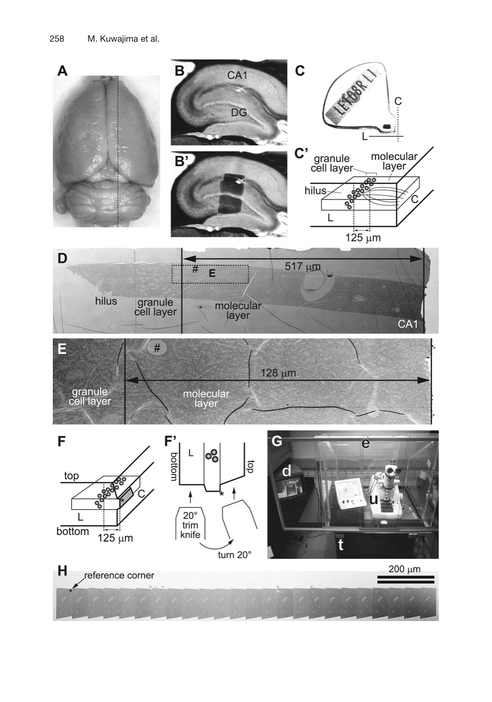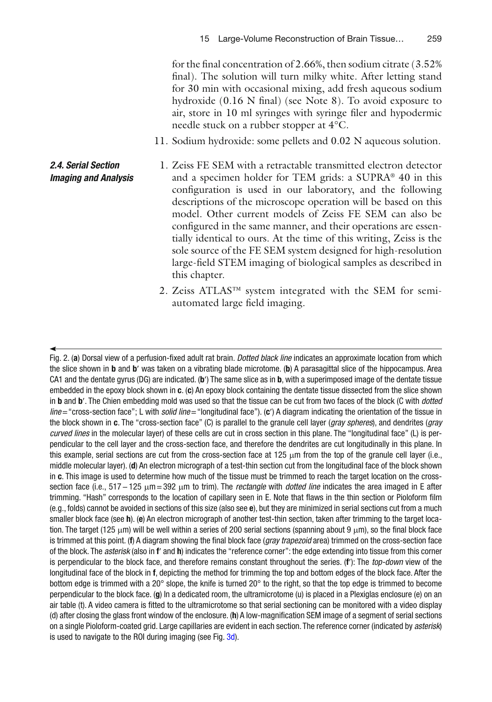for the final concentration of  $2.66\%$ , then sodium citrate (3.52%) final). The solution will turn milky white. After letting stand for 30 min with occasional mixing, add fresh aqueous sodium hydroxide  $(0.16 \text{ N} \text{ final})$  (see Note 8). To avoid exposure to air, store in 10 ml syringes with syringe filer and hypodermic needle stuck on a rubber stopper at 4°C.

- 11. Sodium hydroxide: some pellets and 0.02 N aqueous solution.
- <span id="page-6-0"></span> 1. Zeiss FE SEM with a retractable transmitted electron detector and a specimen holder for TEM grids: a SUPR $A^{\circ}$  40 in this configuration is used in our laboratory, and the following descriptions of the microscope operation will be based on this model. Other current models of Zeiss FE SEM can also be configured in the same manner, and their operations are essentially identical to ours. At the time of this writing, Zeiss is the sole source of the FE SEM system designed for high-resolution large-field STEM imaging of biological samples as described in this chapter.  *2.4. Serial Section Imaging and Analysis*
	- 2. Zeiss ATLAS™ system integrated with the SEM for semiautomated large field imaging.

Fig. 2. (a) Dorsal view of a perfusion-fixed adult rat brain. *Dotted black line* indicates an approximate location from which the slice shown in **b** and **b**¢ was taken on a vibrating blade microtome. ( **b** ) A parasagittal slice of the hippocampus. Area CA1 and the dentate gyrus (DG) are indicated. (**b**<sup>'</sup>) The same slice as in **b**, with a superimposed image of the dentate tissue embedded in the epoxy block shown in **c**. (c) An epoxy block containing the dentate tissue dissected from the slice shown in **b** and **b**<sup> $\prime$ </sup>. The Chien embedding mold was used so that the tissue can be cut from two faces of the block (C with *dotted line* = "cross-section face"; L with *solid line* = "longitudinal face"). (c') A diagram indicating the orientation of the tissue in the block shown in **c** . The "cross-section face" (C) is parallel to the granule cell layer ( *gray spheres* ), and dendrites ( *gray curved lines* in the molecular layer) of these cells are cut in cross section in this plane. The "longitudinal face" (L) is perpendicular to the cell layer and the cross-section face, and therefore the dendrites are cut longitudinally in this plane. In this example, serial sections are cut from the cross-section face at  $125 \mu m$  from the top of the granule cell layer (i.e., middle molecular layer). (**d**) An electron micrograph of a test-thin section cut from the longitudinal face of the block shown in **c** . This image is used to determine how much of the tissue must be trimmed to reach the target location on the crosssection face (i.e., 517 – 125 μm = 392 μm to trim). The *rectangle* with *dotted line* indicates the area imaged in E after trimming. "Hash" corresponds to the location of capillary seen in E. Note that flaws in the thin section or Pioloform film (e.g., folds) cannot be avoided in sections of this size (also see **e** ), but they are minimized in serial sections cut from a much smaller block face (see **h**). (**e**) An electron micrograph of another test-thin section, taken after trimming to the target location. The target (125  $\mu$ m) will be well within a series of 200 serial sections (spanning about 9  $\mu$ m), so the final block face is trimmed at this point. (**f**) A diagram showing the final block face (*gray trapezoid* area) trimmed on the cross-section face of the block. The *asterisk* (also in **f**¢ and **h** ) indicates the "reference corner": the edge extending into tissue from this corner is perpendicular to the block face, and therefore remains constant throughout the series. (**f**<sup>\*</sup>): The *top-down* view of the longitudinal face of the block in **f** , depicting the method for trimming the top and bottom edges of the block face. After the bottom edge is trimmed with a 20° slope, the knife is turned 20° to the right, so that the top edge is trimmed to become perpendicular to the block face. ( **g** ) In a dedicated room, the ultramicrotome (u) is placed in a Plexiglas enclosure (e) on an air table (t). A video camera is fitted to the ultramicrotome so that serial sectioning can be monitored with a video display (d) after closing the glass front window of the enclosure. (h) A low-magnification SEM image of a segment of serial sections on a single Pioloform-coated grid. Large capillaries are evident in each section. The reference corner (indicated by *asterisk* ) is used to navigate to the ROI during imaging (see Fig. [3d](#page-12-0)).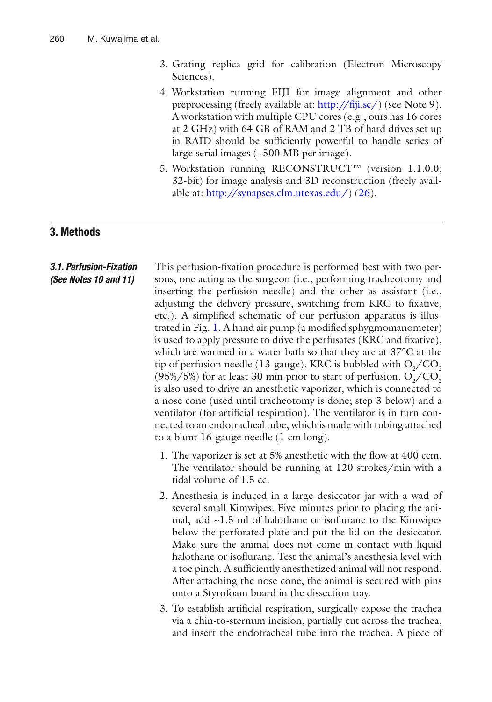- <span id="page-7-0"></span> 3. Grating replica grid for calibration (Electron Microscopy Sciences).
- 4. Workstation running FIJI for image alignment and other preprocessing (freely available at:  $\frac{http://fiji.sc/}{$  (see Note 9). A workstation with multiple CPU cores (e.g., ours has 16 cores at 2 GHz) with 64 GB of RAM and 2 TB of hard drives set up in RAID should be sufficiently powerful to handle series of large serial images (~500 MB per image).
- 5. Workstation running RECONSTRUCT™ (version 1.1.0.0; 32-bit) for image analysis and 3D reconstruction (freely available at: <http://synapses.clm.utexas.edu/>) (26).

#### **3. Methods**

#### *3.1. Perfusion-Fixation ( See Notes 10 and 11 )*

This perfusion-fixation procedure is performed best with two persons, one acting as the surgeon (i.e., performing tracheotomy and inserting the perfusion needle) and the other as assistant (i.e., adjusting the delivery pressure, switching from KRC to fixative, etc.). A simplified schematic of our perfusion apparatus is illus-trated in Fig. [1.](#page-3-0) A hand air pump (a modified sphygmomanometer) is used to apply pressure to drive the perfusates (KRC and fixative), which are warmed in a water bath so that they are at 37°C at the tip of perfusion needle (13-gauge). KRC is bubbled with  $\mathrm{O_2/CO_2}$ (95%/5%) for at least 30 min prior to start of perfusion.  $O_p/CO_p$ is also used to drive an anesthetic vaporizer, which is connected to a nose cone (used until tracheotomy is done; step 3 below) and a ventilator (for artificial respiration). The ventilator is in turn connected to an endotracheal tube, which is made with tubing attached to a blunt 16-gauge needle (1 cm long).

- 1. The vaporizer is set at 5% anesthetic with the flow at 400 ccm. The ventilator should be running at 120 strokes/min with a tidal volume of 1.5 cc.
- 2. Anesthesia is induced in a large desiccator jar with a wad of several small Kimwipes. Five minutes prior to placing the animal, add  $\sim$ 1.5 ml of halothane or isoflurane to the Kimwipes below the perforated plate and put the lid on the desiccator. Make sure the animal does not come in contact with liquid halothane or isoflurane. Test the animal's anesthesia level with a toe pinch. A sufficiently anesthetized animal will not respond. After attaching the nose cone, the animal is secured with pins onto a Styrofoam board in the dissection tray.
- 3. To establish artificial respiration, surgically expose the trachea via a chin-to-sternum incision, partially cut across the trachea, and insert the endotracheal tube into the trachea. A piece of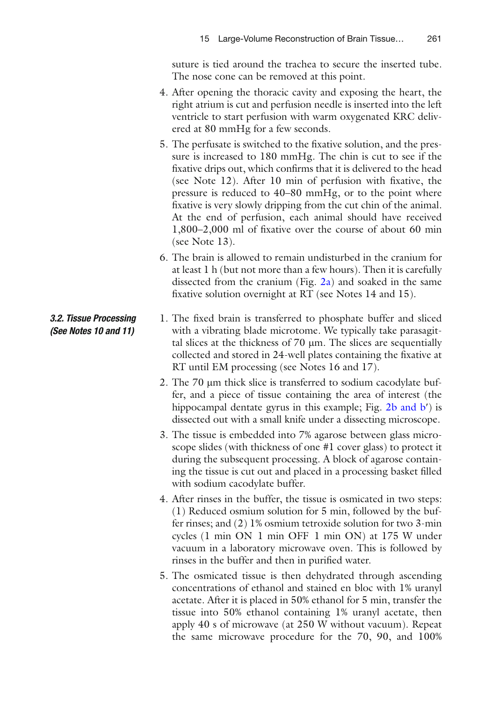suture is tied around the trachea to secure the inserted tube. The nose cone can be removed at this point.

- 4. After opening the thoracic cavity and exposing the heart, the right atrium is cut and perfusion needle is inserted into the left ventricle to start perfusion with warm oxygenated KRC delivered at 80 mmHg for a few seconds.
- 5. The perfusate is switched to the fixative solution, and the pressure is increased to 180 mmHg. The chin is cut to see if the fixative drips out, which confirms that it is delivered to the head (see Note  $12$ ). After 10 min of perfusion with fixative, the pressure is reduced to 40–80 mmHg, or to the point where fixative is very slowly dripping from the cut chin of the animal. At the end of perfusion, each animal should have received  $1,800-2,000$  ml of fixative over the course of about 60 min (see Note 13).
- 6. The brain is allowed to remain undisturbed in the cranium for at least 1 h (but not more than a few hours). Then it is carefully dissected from the cranium (Fig. [2a](#page-6-0)) and soaked in the same fixative solution overnight at RT (see Notes 14 and 15).
- 1. The fixed brain is transferred to phosphate buffer and sliced with a vibrating blade microtome. We typically take parasagittal slices at the thickness of  $70 \mu m$ . The slices are sequentially collected and stored in 24-well plates containing the fixative at RT until EM processing (see Notes 16 and 17).  *3.2. Tissue Processing ( See Notes 10 and 11 )*
	- 2. The 70 µm thick slice is transferred to sodium cacodylate buffer, and a piece of tissue containing the area of interest (the hippocampal dentate gyrus in this example; Fig.  $2b$  and  $b'$ ) is dissected out with a small knife under a dissecting microscope.
	- 3. The tissue is embedded into 7% agarose between glass microscope slides (with thickness of one #1 cover glass) to protect it during the subsequent processing. A block of agarose containing the tissue is cut out and placed in a processing basket filled with sodium cacodylate buffer.
	- 4. After rinses in the buffer, the tissue is osmicated in two steps: (1) Reduced osmium solution for 5 min, followed by the buffer rinses; and (2) 1% osmium tetroxide solution for two 3-min cycles (1 min ON 1 min OFF 1 min ON) at 175 W under vacuum in a laboratory microwave oven. This is followed by rinses in the buffer and then in purified water.
	- 5. The osmicated tissue is then dehydrated through ascending concentrations of ethanol and stained en bloc with 1% uranyl acetate. After it is placed in 50% ethanol for 5 min, transfer the tissue into 50% ethanol containing 1% uranyl acetate, then apply 40 s of microwave (at 250 W without vacuum). Repeat the same microwave procedure for the 70, 90, and 100%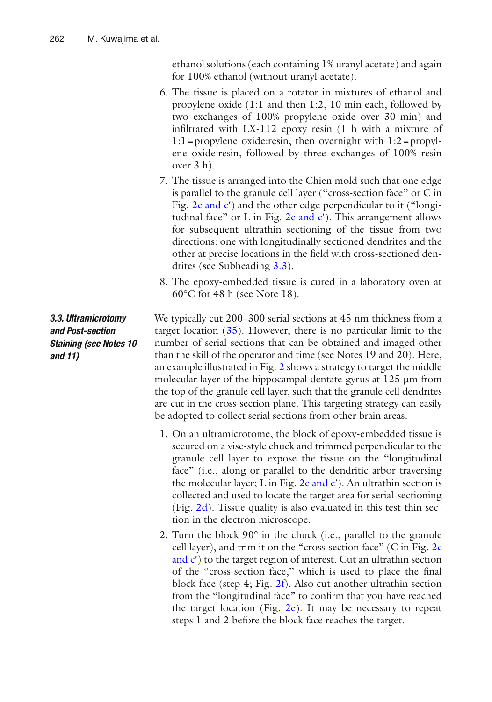ethanol solutions (each containing 1% uranyl acetate) and again for 100% ethanol (without uranyl acetate).

- 6. The tissue is placed on a rotator in mixtures of ethanol and propylene oxide (1:1 and then 1:2, 10 min each, followed by two exchanges of 100% propylene oxide over 30 min) and in filtrated with  $LX-112$  epoxy resin  $(1 h$  with a mixture of 1:1 = propylene oxide:resin, then overnight with 1:2 = propylene oxide:resin, followed by three exchanges of 100% resin over 3 h).
- 7. The tissue is arranged into the Chien mold such that one edge is parallel to the granule cell layer ("cross-section face" or C in Fig.  $2c$  and  $c'$ ) and the other edge perpendicular to it ("longitudinal face" or L in Fig.  $2c$  and  $c'$ ). This arrangement allows for subsequent ultrathin sectioning of the tissue from two directions: one with longitudinally sectioned dendrites and the other at precise locations in the field with cross-sectioned dendrites (see Subheading 3.3).
- 8. The epoxy-embedded tissue is cured in a laboratory oven at  $60^{\circ}$ C for 48 h (see Note 18).

We typically cut 200–300 serial sections at 45 nm thickness from a target location  $(35)$ . However, there is no particular limit to the number of serial sections that can be obtained and imaged other than the skill of the operator and time (see Notes 19 and 20). Here, an example illustrated in Fig. [2](#page-6-0) shows a strategy to target the middle molecular layer of the hippocampal dentate gyrus at 125 µm from the top of the granule cell layer, such that the granule cell dendrites are cut in the cross-section plane. This targeting strategy can easily be adopted to collect serial sections from other brain areas.

- 1. On an ultramicrotome, the block of epoxy-embedded tissue is secured on a vise-style chuck and trimmed perpendicular to the granule cell layer to expose the tissue on the "longitudinal face" (i.e., along or parallel to the dendritic arbor traversing the molecular layer; L in Fig.  $2c$  and  $c'$ ). An ultrathin section is collected and used to locate the target area for serial-sectioning (Fig. [2d](#page-6-0)). Tissue quality is also evaluated in this test-thin section in the electron microscope.
- 2. Turn the block 90° in the chuck (i.e., parallel to the granule cell layer), and trim it on the "cross-section face" (C in Fig. [2c](#page-6-0)  and  $c'$ ) to the target region of interest. Cut an ultrathin section of the "cross-section face," which is used to place the final block face (step 4; Fig. [2f\)](#page-6-0). Also cut another ultrathin section from the "longitudinal face" to confirm that you have reached the target location (Fig. [2e](#page-6-0)). It may be necessary to repeat steps 1 and 2before the block face reaches the target.

 *3.3. Ultramicrotomy and Post-section Staining ( see Notes 10 and 11 )*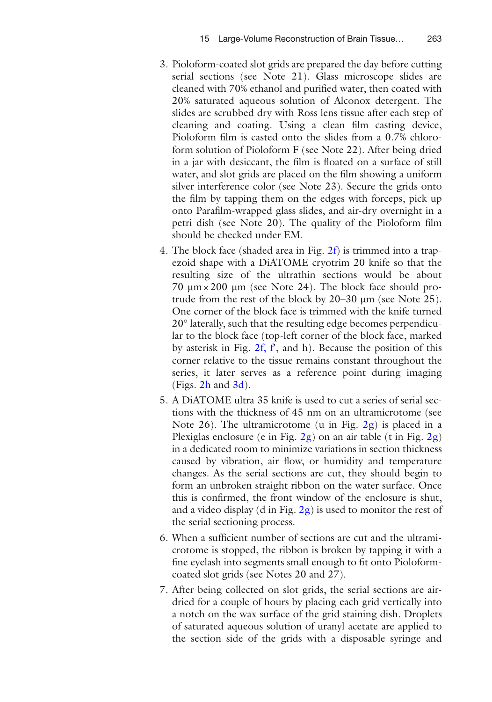- 3. Pioloform-coated slot grids are prepared the day before cutting serial sections (see Note 21). Glass microscope slides are cleaned with 70% ethanol and purified water, then coated with 20% saturated aqueous solution of Alconox detergent. The slides are scrubbed dry with Ross lens tissue after each step of cleaning and coating. Using a clean film casting device, Pioloform film is casted onto the slides from a 0.7% chloroform solution of Pioloform F (see Note 22 ). After being dried in a jar with desiccant, the film is floated on a surface of still water, and slot grids are placed on the film showing a uniform silver interference color (see Note 23). Secure the grids onto the film by tapping them on the edges with forceps, pick up onto Parafilm-wrapped glass slides, and air-dry overnight in a petri dish (see Note 20). The quality of the Pioloform film should be checked under EM.
- 4. The block face (shaded area in Fig. [2f](#page-6-0)) is trimmed into a trapezoid shape with a DiATOME cryotrim 20 knife so that the resulting size of the ultrathin sections would be about 70  $\mu$ m × 200  $\mu$ m (see Note 24). The block face should protrude from the rest of the block by  $20-30 \mu m$  (see Note 25). One corner of the block face is trimmed with the knife turned 20° laterally, such that the resulting edge becomes perpendicular to the block face (top-left corner of the block face, marked by asterisk in Fig.  $2f, f',$  $2f, f',$  and h). Because the position of this corner relative to the tissue remains constant throughout the series, it later serves as a reference point during imaging (Figs.  $2h$  and  $3d$ ).
- 5. A DiATOME ultra 35 knife is used to cut a series of serial sections with the thickness of 45 nm on an ultramicrotome (see Note 26). The ultramicrotome (u in Fig. [2g\)](#page-6-0) is placed in a Plexiglas enclosure (e in Fig. [2g\)](#page-6-0) on an air table (t in Fig. [2g\)](#page-6-0) in a dedicated room to minimize variations in section thickness caused by vibration, air flow, or humidity and temperature changes. As the serial sections are cut, they should begin to form an unbroken straight ribbon on the water surface. Once this is confirmed, the front window of the enclosure is shut, and a video display (d in Fig. [2g](#page-6-0)) is used to monitor the rest of the serial sectioning process.
- 6. When a sufficient number of sections are cut and the ultramicrotome is stopped, the ribbon is broken by tapping it with a fine eyelash into segments small enough to fit onto Pioloformcoated slot grids (see Notes 20 and 27).
- 7. After being collected on slot grids, the serial sections are airdried for a couple of hours by placing each grid vertically into a notch on the wax surface of the grid staining dish. Droplets of saturated aqueous solution of uranyl acetate are applied to the section side of the grids with a disposable syringe and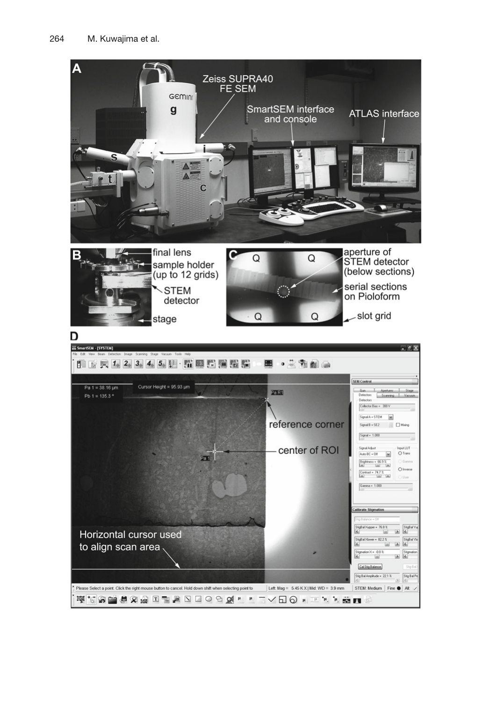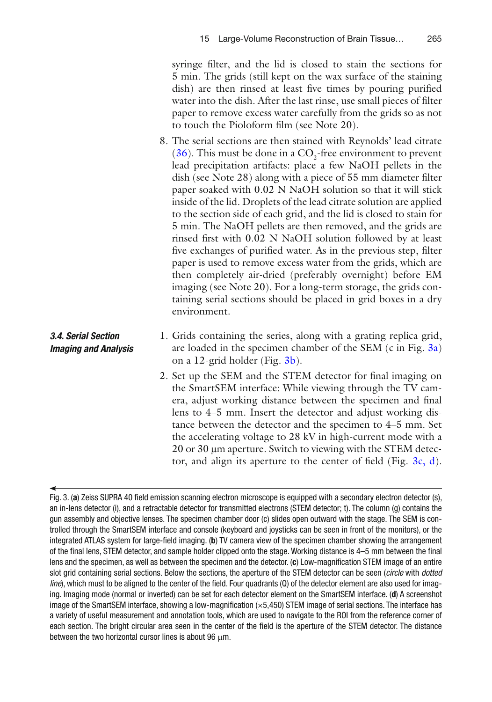<span id="page-12-0"></span>syringe filter, and the lid is closed to stain the sections for 5 min. The grids (still kept on the wax surface of the staining dish) are then rinsed at least five times by pouring purified water into the dish. After the last rinse, use small pieces of filter paper to remove excess water carefully from the grids so as not to touch the Pioloform film (see Note 20).

- 8. The serial sections are then stained with Reynolds' lead citrate (36). This must be done in a  $CO_2$ -free environment to prevent lead precipitation artifacts: place a few NaOH pellets in the dish (see Note  $28$ ) along with a piece of  $55$  mm diameter filter paper soaked with 0.02 N NaOH solution so that it will stick inside of the lid. Droplets of the lead citrate solution are applied to the section side of each grid, and the lid is closed to stain for 5 min. The NaOH pellets are then removed, and the grids are rinsed first with  $0.02$  N NaOH solution followed by at least five exchanges of purified water. As in the previous step, filter paper is used to remove excess water from the grids, which are then completely air-dried (preferably overnight) before EM imaging (see Note 20). For a long-term storage, the grids containing serial sections should be placed in grid boxes in a dry environment.
- 1. Grids containing the series, along with a grating replica grid, are loaded in the specimen chamber of the SEM (c in Fig. 3a) on a 12-grid holder (Fig. 3b).  *3.4. Serial Section Imaging and Analysis*
	- 2. Set up the SEM and the STEM detector for final imaging on the SmartSEM interface: While viewing through the TV camera, adjust working distance between the specimen and final lens to 4–5 mm. Insert the detector and adjust working distance between the detector and the specimen to 4–5 mm. Set the accelerating voltage to 28 kV in high-current mode with a 20 or 30 µm aperture. Switch to viewing with the STEM detector, and align its aperture to the center of field (Fig.  $3c$ , d).

Fig. 3. (a) Zeiss SUPRA 40 field emission scanning electron microscope is equipped with a secondary electron detector (s), an in-lens detector (i), and a retractable detector for transmitted electrons (STEM detector; t). The column (g) contains the gun assembly and objective lenses. The specimen chamber door (c) slides open outward with the stage. The SEM is controlled through the SmartSEM interface and console (keyboard and joysticks can be seen in front of the monitors), or the integrated ATLAS system for large-field imaging. (**b**) TV camera view of the specimen chamber showing the arrangement of the final lens, STEM detector, and sample holder clipped onto the stage. Working distance is 4–5 mm between the final lens and the specimen, as well as between the specimen and the detector. (c) Low-magnification STEM image of an entire slot grid containing serial sections. Below the sections, the aperture of the STEM detector can be seen ( *circle* with *dotted line*), which must to be aligned to the center of the field. Four quadrants (Q) of the detector element are also used for imaging. Imaging mode (normal or inverted) can be set for each detector element on the SmartSEM interface. ( **d** ) A screenshot image of the SmartSEM interface, showing a low-magnification  $(x5,450)$  STEM image of serial sections. The interface has a variety of useful measurement and annotation tools, which are used to navigate to the ROI from the reference corner of each section. The bright circular area seen in the center of the field is the aperture of the STEM detector. The distance between the two horizontal cursor lines is about  $96 \mu m$ .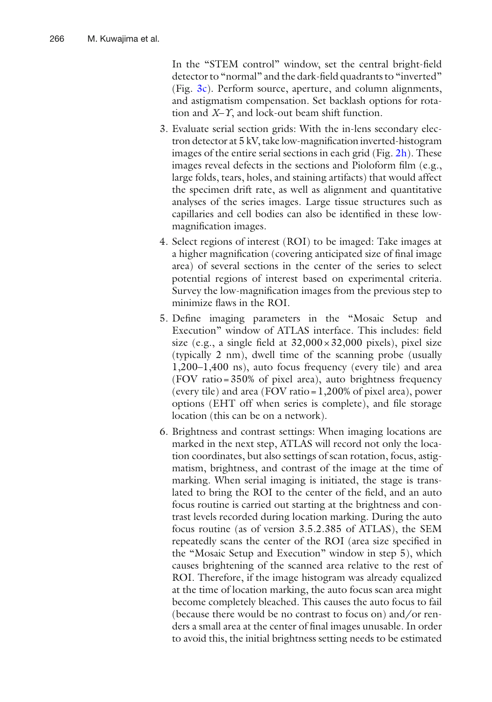In the "STEM control" window, set the central bright-field detector to "normal" and the dark-field quadrants to "inverted" (Fig. [3c](#page-12-0)). Perform source, aperture, and column alignments, and astigmatism compensation. Set backlash options for rotation and *X*– *Y*, and lock-out beam shift function.

- 3. Evaluate serial section grids: With the in-lens secondary electron detector at 5 kV, take low-magnification inverted-histogram images of the entire serial sections in each grid (Fig.  $2h$ ). These images reveal defects in the sections and Pioloform film (e.g., large folds, tears, holes, and staining artifacts) that would affect the specimen drift rate, as well as alignment and quantitative analyses of the series images. Large tissue structures such as capillaries and cell bodies can also be identified in these lowmagnification images.
- 4. Select regions of interest (ROI) to be imaged: Take images at a higher magnification (covering anticipated size of final image area) of several sections in the center of the series to select potential regions of interest based on experimental criteria. Survey the low-magnification images from the previous step to minimize flaws in the ROI.
- 5. Define imaging parameters in the "Mosaic Setup and Execution" window of ATLAS interface. This includes: field size (e.g., a single field at  $32,000 \times 32,000$  pixels), pixel size (typically 2 nm), dwell time of the scanning probe (usually 1,200–1,400 ns), auto focus frequency (every tile) and area (FOV ratio = 350% of pixel area), auto brightness frequency (every tile) and area (FOV ratio = 1,200% of pixel area), power options (EHT off when series is complete), and file storage location (this can be on a network).
- 6. Brightness and contrast settings: When imaging locations are marked in the next step, ATLAS will record not only the location coordinates, but also settings of scan rotation, focus, astigmatism, brightness, and contrast of the image at the time of marking. When serial imaging is initiated, the stage is translated to bring the ROI to the center of the field, and an auto focus routine is carried out starting at the brightness and contrast levels recorded during location marking. During the auto focus routine (as of version 3.5.2.385 of ATLAS), the SEM repeatedly scans the center of the ROI (area size specified in the "Mosaic Setup and Execution" window in step 5), which causes brightening of the scanned area relative to the rest of ROI. Therefore, if the image histogram was already equalized at the time of location marking, the auto focus scan area might become completely bleached. This causes the auto focus to fail (because there would be no contrast to focus on) and/or renders a small area at the center of final images unusable. In order to avoid this, the initial brightness setting needs to be estimated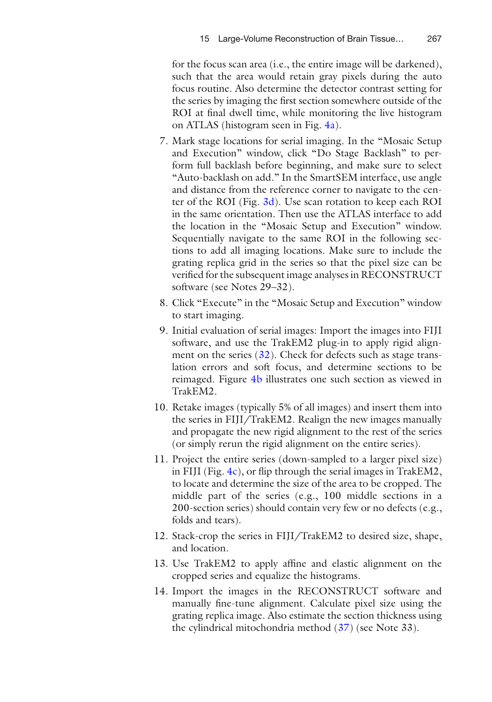for the focus scan area (i.e., the entire image will be darkened), such that the area would retain gray pixels during the auto focus routine. Also determine the detector contrast setting for the series by imaging the first section somewhere outside of the ROI at final dwell time, while monitoring the live histogram on ATLAS (histogram seen in Fig. [4a\)](#page-16-0).

- 7. Mark stage locations for serial imaging. In the "Mosaic Setup and Execution" window, click "Do Stage Backlash" to perform full backlash before beginning, and make sure to select "Auto-backlash on add." In the SmartSEM interface, use angle and distance from the reference corner to navigate to the center of the ROI (Fig. [3d\)](#page-12-0). Use scan rotation to keep each ROI in the same orientation. Then use the ATLAS interface to add the location in the "Mosaic Setup and Execution" window. Sequentially navigate to the same ROI in the following sections to add all imaging locations. Make sure to include the grating replica grid in the series so that the pixel size can be verified for the subsequent image analyses in RECONSTRUCT software (see Notes 29–32).
- 8. Click "Execute" in the "Mosaic Setup and Execution" window to start imaging.
- 9. Initial evaluation of serial images: Import the images into FIJI software, and use the TrakEM2 plug-in to apply rigid alignment on the series  $(32)$ . Check for defects such as stage translation errors and soft focus, and determine sections to be reimaged. Figure [4b](#page-16-0) illustrates one such section as viewed in TrakEM2.
- 10. Retake images (typically 5% of all images) and insert them into the series in FIJI/TrakEM2. Realign the new images manually and propagate the new rigid alignment to the rest of the series (or simply rerun the rigid alignment on the entire series).
- 11. Project the entire series (down-sampled to a larger pixel size) in FIJI (Fig.  $4c$ ), or flip through the serial images in TrakEM2, to locate and determine the size of the area to be cropped. The middle part of the series (e.g., 100 middle sections in a 200-section series) should contain very few or no defects (e.g., folds and tears).
- 12. Stack-crop the series in FIJI/TrakEM2 to desired size, shape, and location.
- 13. Use TrakEM2 to apply affine and elastic alignment on the cropped series and equalize the histograms.
- 14. Import the images in the RECONSTRUCT software and manually fine-tune alignment. Calculate pixel size using the grating replica image. Also estimate the section thickness using the cylindrical mitochondria method  $(37)$  (see Note 33).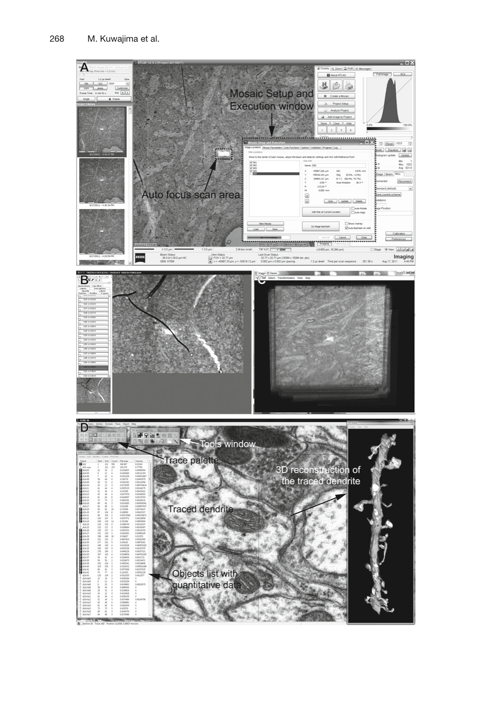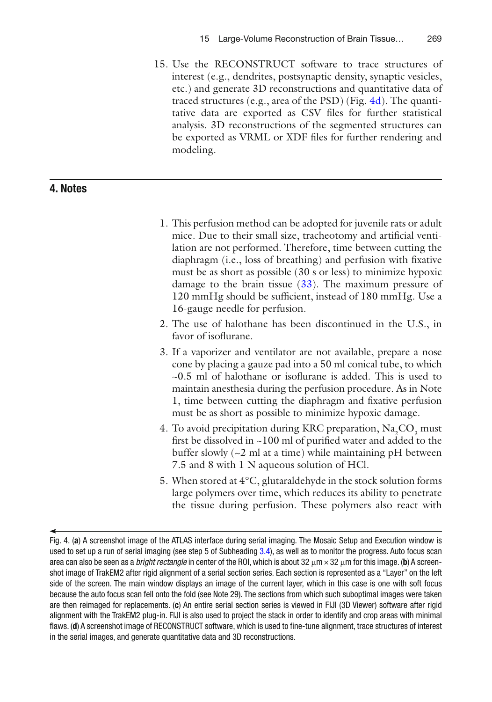<span id="page-16-0"></span> 15. Use the RECONSTRUCT software to trace structures of interest (e.g., dendrites, postsynaptic density, synaptic vesicles, etc.) and generate 3D reconstructions and quantitative data of traced structures (e.g., area of the PSD) (Fig. 4d). The quantitative data are exported as CSV files for further statistical analysis. 3D reconstructions of the segmented structures can be exported as VRML or XDF files for further rendering and modeling.

#### **4. Notes**

- 1. This perfusion method can be adopted for juvenile rats or adult mice. Due to their small size, tracheotomy and artificial ventilation are not performed. Therefore, time between cutting the diaphragm (i.e., loss of breathing) and perfusion with fixative must be as short as possible (30 s or less) to minimize hypoxic damage to the brain tissue  $(33)$ . The maximum pressure of 120 mmHg should be sufficient, instead of 180 mmHg. Use a 16-gauge needle for perfusion.
- 2. The use of halothane has been discontinued in the U.S., in favor of isoflurane.
- 3. If a vaporizer and ventilator are not available, prepare a nose cone by placing a gauze pad into a 50 ml conical tube, to which  $\sim$ 0.5 ml of halothane or isoflurane is added. This is used to maintain anesthesia during the perfusion procedure. As in Note 1, time between cutting the diaphragm and fixative perfusion must be as short as possible to minimize hypoxic damage.
- 4. To avoid precipitation during KRC preparation,  $\text{Na}_2\text{CO}_3$  must first be dissolved in  $\sim$ 100 ml of purified water and added to the buffer slowly  $(-2 \text{ ml at a time})$  while maintaining pH between 7.5 and 8 with 1 N aqueous solution of HCl.
	- 5. When stored at 4°C, glutaraldehyde in the stock solution forms large polymers over time, which reduces its ability to penetrate the tissue during perfusion. These polymers also react with

Fig. 4. ( **a** ) A screenshot image of the ATLAS interface during serial imaging. The Mosaic Setup and Execution window is used to set up a run of serial imaging (see step 5 of Subheading [3.4](#page-12-0)), as well as to monitor the progress. Auto focus scan area can also be seen as a *bright rectangle* in center of the ROI, which is about 32  $\mu$ m  $\times$  32  $\mu$ m for this image. (**b**) A screenshot image of TrakEM2 after rigid alignment of a serial section series. Each section is represented as a "Layer" on the left side of the screen. The main window displays an image of the current layer, which in this case is one with soft focus because the auto focus scan fell onto the fold ( see Note 29 ). The sections from which such suboptimal images were taken are then reimaged for replacements. ( **c** ) An entire serial section series is viewed in FIJI (3D Viewer) software after rigid alignment with the TrakEM2 plug-in. FIJI is also used to project the stack in order to identify and crop areas with minimal flaws. (d) A screenshot image of RECONSTRUCT software, which is used to fine-tune alignment, trace structures of interest in the serial images, and generate quantitative data and 3D reconstructions.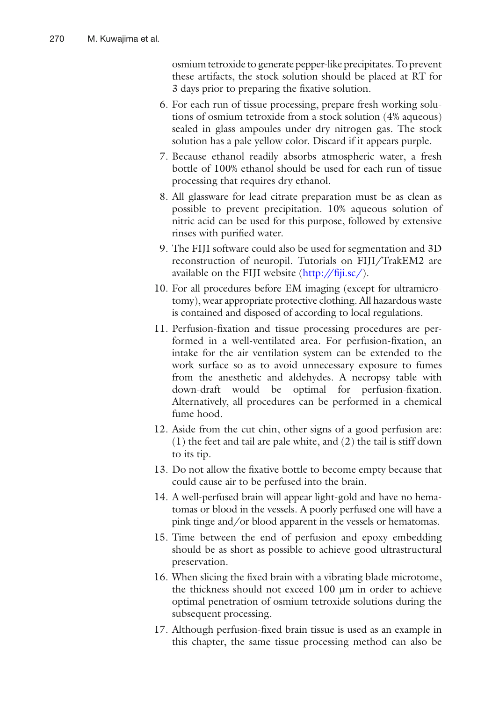osmium tetroxide to generate pepper-like precipitates. To prevent these artifacts, the stock solution should be placed at RT for 3 days prior to preparing the fixative solution.

- 6. For each run of tissue processing, prepare fresh working solutions of osmium tetroxide from a stock solution (4% aqueous) sealed in glass ampoules under dry nitrogen gas. The stock solution has a pale yellow color. Discard if it appears purple.
- 7. Because ethanol readily absorbs atmospheric water, a fresh bottle of 100% ethanol should be used for each run of tissue processing that requires dry ethanol.
- 8. All glassware for lead citrate preparation must be as clean as possible to prevent precipitation. 10% aqueous solution of nitric acid can be used for this purpose, followed by extensive rinses with purified water.
- 9. The FIJI software could also be used for segmentation and 3D reconstruction of neuropil. Tutorials on FIJI/TrakEM2 are available on the FIJI website  $(http://fiji.sc/).$
- 10. For all procedures before EM imaging (except for ultramicrotomy), wear appropriate protective clothing. All hazardous waste is contained and disposed of according to local regulations.
- 11. Perfusion-fixation and tissue processing procedures are performed in a well-ventilated area. For perfusion-fixation, an intake for the air ventilation system can be extended to the work surface so as to avoid unnecessary exposure to fumes from the anesthetic and aldehydes. A necropsy table with down-draft would be optimal for perfusion-fixation. Alternatively, all procedures can be performed in a chemical fume hood.
- 12. Aside from the cut chin, other signs of a good perfusion are: (1) the feet and tail are pale white, and (2) the tail is stiff down to its tip.
- 13. Do not allow the fixative bottle to become empty because that could cause air to be perfused into the brain.
- 14. A well-perfused brain will appear light-gold and have no hematomas or blood in the vessels. A poorly perfused one will have a pink tinge and/or blood apparent in the vessels or hematomas.
- 15. Time between the end of perfusion and epoxy embedding should be as short as possible to achieve good ultrastructural preservation.
- 16. When slicing the fixed brain with a vibrating blade microtome, the thickness should not exceed  $100 \mu m$  in order to achieve optimal penetration of osmium tetroxide solutions during the subsequent processing.
- 17. Although perfusion-fixed brain tissue is used as an example in this chapter, the same tissue processing method can also be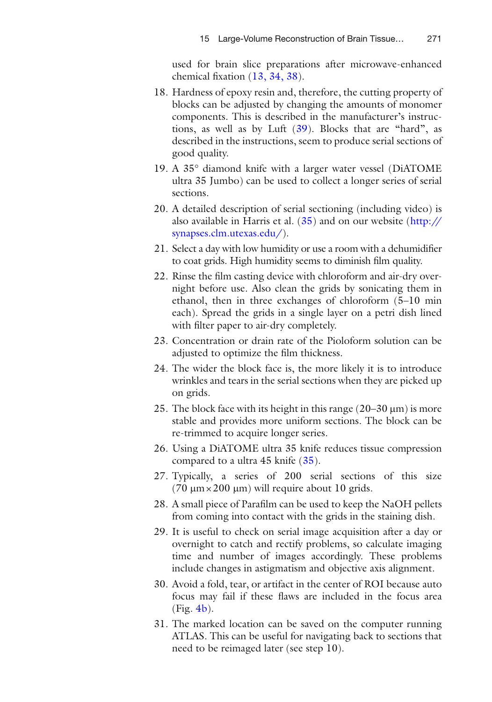used for brain slice preparations after microwave-enhanced chemical fixation  $(13, 34, 38)$ .

- 18. Hardness of epoxy resin and, therefore, the cutting property of blocks can be adjusted by changing the amounts of monomer components. This is described in the manufacturer's instructions, as well as by Luft  $(39)$ . Blocks that are "hard", as described in the instructions, seem to produce serial sections of good quality.
- 19. A 35° diamond knife with a larger water vessel (DiATOME ultra 35 Jumbo) can be used to collect a longer series of serial sections.
- 20. A detailed description of serial sectioning (including video) is also available in Harris et al.  $(35)$  and on our website (http:// synapses.clm.utexas.edu/).
- 21. Select a day with low humidity or use a room with a dehumidifier to coat grids. High humidity seems to diminish film quality.
- 22. Rinse the film casting device with chloroform and air-dry overnight before use. Also clean the grids by sonicating them in ethanol, then in three exchanges of chloroform (5–10 min each). Spread the grids in a single layer on a petri dish lined with filter paper to air-dry completely.
- 23. Concentration or drain rate of the Pioloform solution can be adjusted to optimize the film thickness.
- 24. The wider the block face is, the more likely it is to introduce wrinkles and tears in the serial sections when they are picked up on grids.
- 25. The block face with its height in this range  $(20-30 \,\mu m)$  is more stable and provides more uniform sections. The block can be re-trimmed to acquire longer series.
- 26. Using a DiATOME ultra 35 knife reduces tissue compression compared to a ultra  $45$  knife  $(35)$ .
- 27. Typically, a series of 200 serial sections of this size (70  $\mu$ m × 200  $\mu$ m) will require about 10 grids.
- 28. A small piece of Parafilm can be used to keep the NaOH pellets from coming into contact with the grids in the staining dish.
- 29. It is useful to check on serial image acquisition after a day or overnight to catch and rectify problems, so calculate imaging time and number of images accordingly. These problems include changes in astigmatism and objective axis alignment.
- 30. Avoid a fold, tear, or artifact in the center of ROI because auto focus may fail if these flaws are included in the focus area (Fig. [4b\)](#page-16-0).
- 31. The marked location can be saved on the computer running ATLAS. This can be useful for navigating back to sections that need to be reimaged later (see step 10).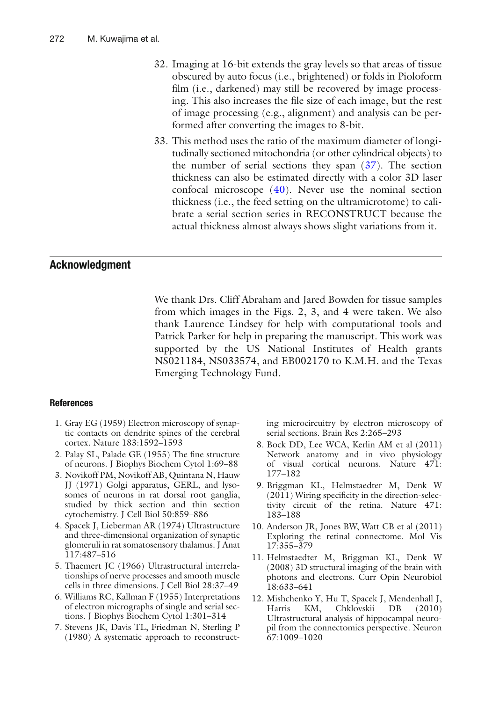- <span id="page-19-0"></span> 32. Imaging at 16-bit extends the gray levels so that areas of tissue obscured by auto focus (i.e., brightened) or folds in Pioloform film (i.e., darkened) may still be recovered by image processing. This also increases the file size of each image, but the rest of image processing (e.g., alignment) and analysis can be performed after converting the images to 8-bit.
- 33. This method uses the ratio of the maximum diameter of longitudinally sectioned mitochondria (or other cylindrical objects) to the number of serial sections they span  $(37)$ . The section thickness can also be estimated directly with a color 3D laser confocal microscope  $(40)$ . Never use the nominal section thickness (i.e., the feed setting on the ultramicrotome) to calibrate a serial section series in RECONSTRUCT because the actual thickness almost always shows slight variations from it.

#### **Acknowledgment**

We thank Drs. Cliff Abraham and Jared Bowden for tissue samples from which images in the Figs. 2, 3, and 4 were taken. We also thank Laurence Lindsey for help with computational tools and Patrick Parker for help in preparing the manuscript. This work was supported by the US National Institutes of Health grants NS021184, NS033574, and EB002170 to K.M.H. and the Texas Emerging Technology Fund.

#### **References**

- 1. Gray EG (1959) Electron microscopy of synaptic contacts on dendrite spines of the cerebral cortex. Nature 183:1592–1593
- 2. Palay SL, Palade GE (1955) The fine structure of neurons. J Biophys Biochem Cytol 1:69–88
- 3. Novikoff PM, Novikoff AB, Quintana N, Hauw JJ (1971) Golgi apparatus, GERL, and lysosomes of neurons in rat dorsal root ganglia, studied by thick section and thin section cytochemistry. J Cell Biol 50:859–886
- 4. Spacek J, Lieberman AR (1974) Ultrastructure and three-dimensional organization of synaptic glomeruli in rat somatosensory thalamus. J Anat 117:487–516
- 5. Thaemert JC (1966) Ultrastructural interrelationships of nerve processes and smooth muscle cells in three dimensions. J Cell Biol 28:37–49
- 6. Williams RC, Kallman F (1955) Interpretations of electron micrographs of single and serial sections. J Biophys Biochem Cytol 1:301–314
- 7. Stevens JK, Davis TL, Friedman N, Sterling P (1980) A systematic approach to reconstruct-

ing microcircuitry by electron microscopy of serial sections. Brain Res 2:265–293

- 8. Bock DD, Lee WCA, Kerlin AM et al (2011) Network anatomy and in vivo physiology of visual cortical neurons. Nature 471: 177–182
- 9. Briggman KL, Helmstaedter M, Denk W  $(2011)$  Wiring specificity in the direction-selectivity circuit of the retina. Nature 471: 183–188
- 10. Anderson JR, Jones BW, Watt CB et al (2011) Exploring the retinal connectome. Mol Vis 17:355–379
- 11. Helmstaedter M, Briggman KL, Denk W (2008) 3D structural imaging of the brain with photons and electrons. Curr Opin Neurobiol 18:633–641
- 12. Mishchenko Y, Hu T, Spacek J, Mendenhall J,<br>Harris KM, Chklovskii DB (2010) Harris KM, Chklovskii DB (2010) Ultrastructural analysis of hippocampal neuropil from the connectomics perspective. Neuron 67:1009–1020